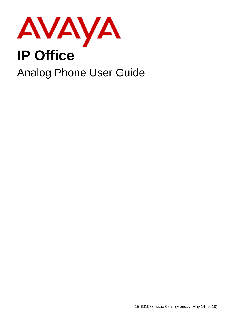

# **IP Office**

## Analog Phone User Guide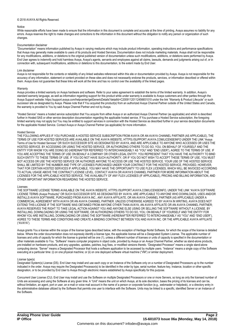#### © 2018 AVAYA All Rights Reserved.

#### Notice

While reasonable efforts have been made to ensure that the information in this document is complete and accurate at the time of printing, Avaya assumes no liability for any errors. Avaya reserves the right to make changes and corrections to the information in this document without the obligation to notify any person or organization of such changes.

#### Documentation disclaimer

"Documentation" means information published by Avaya in varying mediums which may include product information, operating instructions and performance specifications that Avaya may generally make available to users of its products and Hosted Services. Documentation does not include marketing materials. Avaya shall not be responsible for any modifications, additions, or deletions to the original published version of documentation unless such modifications, additions, or deletions were performed by Avaya. End User agrees to indemnify and hold harmless Avaya, Avaya's agents, servants and employees against all claims, lawsuits, demands and judgments arising out of, or in connection with, subsequent modifications, additions ordeletions to this documentation, to the extent made by End User.

#### Link disclaimer

Avaya is not responsible for the contents or reliability of any linked websites referenced within this site or documentation provided by Avaya. Avaya is not responsible for the accuracy of any information, statement or content provided on these sites and does not necessarily endorse the products, services, or information described or offered within them. Avaya does not quarantee that these links will work all the time and has no control over the availability of the linked pages.

#### **Warranty**

Avaya provides a limited warranty on Avaya hardware and software. Refer to your sales agreement to establish the terms of the limited warranty. In addition, Avaya's standard warranty language, as wellas information regarding support for this product while under warranty is available to Avaya customers and other parties through the Avaya Support website: https://support.avaya.com/helpcenter/getGenericDetails?detailId=C20091120112456651010 under the link "Warranty & Product Lifecycle" or such successor site as designated by Avaya. Please note that if You acquired the product(s) from an authorized Avaya Channel Partner outside of the United States and Canada, the warranty is provided to You by said Avaya Channel Partner and not by Avaya.

"Hosted Service" means a hosted service subscription that You acquire from either Avaya or an authorized Avaya Channel Partner (as applicable) and which is described further in Hosted SAS or other service description documentation regarding the applicable hosted service. If You purchase a Hosted Service subscription, the foregoing limited warranty may not apply but You may be entitled to support services in connection with the Hosted Service as described further in your service description documents for the applicable Hosted Service. Contact Avaya or Avaya Channel Partner (as applicable) for more information.

#### Hosted Service

THE FOLLOWING APPLIES IF YOU PURCHASE A HOSTED SERVICE SUBSCRIPTION FROM AVAYA OR AN AVAYA CHANNEL PARTNER (AS APPLICABLE), THE TERMS OF USE FOR HOSTED SERVICES ARE AVAILABLE ON THE AVAYA WEBSITE, HTTPS://SUPPORT.AVAYA.COM/LICENSEINFO UNDER THE LINK "Avaya Terms of Use for Hosted Services" OR SUCH SUCCESSOR SITE AS DESIGNATED BY AVAYA, AND ARE APPLICABLE TO ANYONE WHO ACCESSES OR USES THE HOSTED SERVICE. BY ACCESSING OR USING THE HOSTED SERVICE, OR AUTHORIZING OTHERS TO DO SO, YOU, ON BEHALF OF YOURSELF AND THE ENTITY FOR WHOM YOU ARE DOING SO (HEREINAFTER REFERRED TO INTERCHANGEABLY AS "YOU" AND "END USER"), AGREE TO THE TERMS OF USE. IF YOU ARE ACCEPTING THE TERMS OF USE ON BEHALF A COMPANY OR OTHER LEGAL ENTITY, YOU REPRESENT THAT YOU HAVE THE AUTHORITY TO BIND SUCH ENTITY TO THESE TERMS OF USE. IF YOU DO NOT HAVE SUCH AUTHORITY, OR IF YOU DO NOT WISH TO ACCEPT THESE TERMS OF USE, YOU MUST NOT ACCESS OR USE THE HOSTED SERVICE OR AUTHORIZE ANYONE TO ACCESS OR USE THE HOSTED SERVICE. YOUR USE OF THE HOSTED SERVICE SHALL BE LIMITED BY THE NUMBER AND TYPE OF LICENSES PURCHASED UNDER YOUR CONTRACT FOR THE HOSTED SERVICE, PROVIDED, HOWEVER, THAT FOR CERTAIN HOSTED SERVICES IF APPLICABLE, YOU MAY HAVE THE OPPORTUNITY TO USE FLEX LICENSES, WHICH WILL BE INVOICED ACCORDING TO ACTUAL USAGE ABOVE THE CONTRACT LICENSE LEVEL. CONTACT AVAYA OR AVAYA'S CHANNEL PARTNER FOR MORE INFORMATION ABOUT THE LICENSES FOR THE APPLICABLE HOSTED SERVICE, THE AVAILABILITY OF ANY FLEX LICENSES (IF APPLICABLE), PRICING AND BILLING INFORMATION, AND OTHER IMPORTANT INFORMATION REGARDING THE HOSTED SERVICE.

#### Licenses

THE SOFTWARE LICENSE TERMS AVAILABLE ON THE AVAYA WEBSITE, HTTPS://SUPPORT.AVAYA.COM/LICENSEINFO, UNDER THE LINK "AVAYA SOFTWARE LICENSE TERMS (Avaya Products)" OR SUCH SUCCESSOR SITE AS DESIGNATED BY AVAYA, ARE APPLICABLE TO ANYONE WHO DOWNLOADS, USES AND/OR INSTALLS AVAYA SOFTWARE, PURCHASED FROM AVAYA INC., ANY AVAYA AFFILIATE, OR AN AVAYA CHANNEL PARTNER (AS APPLICABLE) UNDER A COMMERCIAL AGREEMENT WITH AVAYA OR AN AVAYA CHANNEL PARTNER. UNLESS OTHERWISE AGREED TO BY AVAYA IN WRITING, AVAYA DOES NOT EXTEND THIS LICENSE IF THE SOFTWARE WAS OBTAINED FROM ANYONE OTHER THAN AVAYA, AN AVAYA AFFILIATE OR AN AVAYA CHANNEL PARTNER; AVAYA RESERVES THE RIGHT TO TAKE LEGAL ACTION AGAINST YOU AND ANYONE ELSE USING OR SELLING THE SOFTWARE WITHOUT A LICENSE. BY INSTALLING, DOWNLOADING OR USING THE SOFTWARE, OR AUTHORIZING OTHERS TO DO SO,YOU, ON BEHALF OF YOURSELF AND THE ENTITY FOR WHOM YOU ARE INSTALLING, DOWNLOADING OR USING THE SOFTWARE (HEREINAFTER REFERRED TO INTERCHANGEABLY AS "YOU" AND "END USER"), AGREE TO THESE TERMS AND CONDITIONS AND CREATE A BINDING CONTRACT BETWEEN YOU AND AVAYA INC. OR THE APPLICABLE AVAYA AFFILIATE ("AVAYA").

Avaya grants You a license within the scope of the license types described below, with the exception of Heritage Nortel Software, for which the scope of the license is detailed below. Where the order documentation does notexpressly identify a license type, the applicable license will be a Designated System License. The applicable number of licenses and units of capacity for which the license is granted will be one (1), unless a different number of licenses orunits of capacity is specified in the documentation or other materials available to You. "Software" means computer programs in object code, provided by Avaya or an Avaya Channel Partner, whether as stand-alone products, pre-installed on hardware products, and any upgrades, updates, patches, bug fixes, or modified versions thereto. "Designated Processor" means a single stand-alone computing device. "Server" means a Designated Processor that hosts a software application to be accessed by multiple users. "Instance" means a single copy of the Software executing at a particular time: (i) on one physical machine; or (ii) on one deployed software virtual machine ("VM") or similar deployment.

#### License type(s)

Designated System(s) License (DS). End User may install and use each copy oran Instance of the Software only on a number of Designated Processors up to the number indicated in the order. Avaya may require the Designated Processor(s) to be identified in the order by type, serial number, feature key, Instance, location or other specific designation, or to be provided by End User to Avaya through electronic means established by Avaya specifically for this purpose.

Concurrent User License (CU). End User may install and use the Software on multiple Designated Processors orone or more Servers, so long as only the licensed number of Units are accessing and using the Software at any given time. A "Unit" means the unit on which Avaya, at its sole discretion, bases the pricing of its licenses and can be, without limitation, an agent, port or user, an e-mail or voice mail account in the name of a person or corporate function (e.g., webmaster or helpdesk), or a directory entry in the administrative database utilized by the Software that permits one user to interface with the Software. Units may be linked to a specific, identified Server or an Instance of the Software.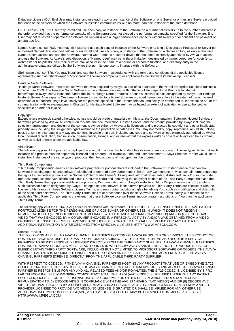Database License (DL). End User may install and use each copy or an Instance of the Software on one Server or on multiple Servers provided that each of the Servers on which the Software is installed communicates with no more than one Instance of the same database.

CPU License (CP). End User may install and use each copy or Instance of the Software on a number of Servers up to the number indicated in the order provided that the performance capacity of the Server(s) does notexceed the performance capacity specified for the Software. End User may not re-install or operate the Software on Server(s) with a larger performance capacity without Avaya's prior consent and payment of an uporade fee.

Named User License (NU). You may: (i) install and use each copy or Instance of the Software on a single Designated Processor or Server per authorized Named User (defined below); or (ii) install and use each copy or Instance of the Software on a Server so long as only authorized Named Users access and use the Software. "Named User", means a user or device that has been expressly authorized by Avaya to access and use the Software. At Avaya's sole discretion, a "Named User" may be, without limitation, designated by name, corporate function (e.g., webmaster or helpdesk), an e-mail or voice mail account in the name of a person or corporate function, or a directory entry in the administrative database utilized by the Software that permits one user to interface with the Software.

Shrinkwrap License (SR). You may install and use the Software in accordance with the terms and conditions of the applicable license agreements, such as "shrinkwrap" or "clickthrough" license accompanying or applicable to the Software ("Shrinkwrap License").

#### Heritage Nortel Software

"Heritage Nortel Software" means the software thatwas acquired by Avaya as part of its purchase of the Nortel Enterprise Solutions Business in December 2009. The Heritage Nortel Software is the software contained within the list of Heritage Nortel Products located at https://support.avaya.com/LicenseInfo under the link "Heritage Nortel Products" or such successor site as designated by Avaya. For Heritage Nortel Software, Avaya grants Customer a license to use Heritage Nortel Software provided hereunder solely to the extent of the authorized activation or authorized usage level, solely for the purpose specified in the Documentation, and solely as embedded in, for execution on, or for communication with Avaya equipment. Charges for Heritage Nortel Software may be based on extent of activation or use authorized as specified in an order or invoice.

#### **Copyright**

Except where expressly stated otherwise, no use should be made of materials on this site, the Documentation, Software, Hosted Service, or hardware provided by Avaya. All content on this site, the documentation, Hosted Service, and the product provided by Avaya including the selection, arrangement and design of the content is owned either by Avaya or its licensors and is protected by copyright and other intellectual property laws including the sui generis rights relating to the protection of databases. You may not modify, copy, reproduce, republish, upload, post, transmit or distribute in any way any content, in whole or in part, including any code and software unless expressly authorized by Avaya. Unauthorized reproduction, transmission, dissemination, storage, and or use without the express written consent of Avaya can be a criminal, as well as a civil offense under the applicable law.<br>Virtualization

The following applies if the product is deployed on a virtual machine. Each product has its own ordering code and license types. Note that each Instance of a product must be separately licensed and ordered. For example, if the end user customer or Avaya Channel Partner would like to install two Instances of the same type of products, then two products of that type must be ordered.

#### Third Party Components

"Third Party Components" mean certain software programs or portions thereof included in the Software or Hosted Service may contain software (including open source software) distributed under third party agreements ("Third Party Components"), which contain terms regarding the rights to use certain portions of the Software ("Third Party Terms"). As required, information regarding distributed Linux OS source code (for those products that have distributed Linux OS source code) and identifying the copyright holders of the Third Party Components and the Third Party Terms that apply is available in the products, Documentation or on Avaya's website at: https://support.avaya.com/Copyright or such successor site as designated by Avaya. The open source software license terms provided as Third Party Terms are consistent with the license rights granted in these Software License Terms, and may contain additional rights benefiting You, such as modification and distribution of the open source software. The Third Party Terms shall take precedence over these Software License Terms, solely with respect to the applicable Third Party Components to the extent that these Software License Terms impose greater restrictions on You than the applicable Third Party Terms.

The following applies if the H.264 (AVC) codec is distributed with the product. THIS PRODUCT IS LICENSED UNDER THE AVC PATENT PORTFOLIO LICENSE FOR THE PERSONAL USE OF A CONSUMER OR OTHER USES IN WHICH IT DOES NOT RECEIVE REMUNERATION TO (i) ENCODE VIDEO IN COMPLIANCE WITH THE AVC STANDARD ("AVC VIDEO") AND/OR (ii) DECODE AVC VIDEO THAT WAS ENCODED BY A CONSUMER ENGAGED IN A PERSONAL ACTIVITY AND/OR WAS OBTAINED FROM A VIDEO PROVIDER LICENSED TO PROVIDE AVC VIDEO. NO LICENSE IS GRANTED OR SHALL BE IMPLIED FOR ANY OTHER USE. ADDITIONAL INFORMATION MAY BE OBTAINED FROM MPEG LA, L.L.C. SEE HTTP://WWW.MPEGLA.COM.

#### Service Provider

THE FOLLOWING APPLIES TO AVAYA CHANNEL PARTNER'S HOSTING OF AVAYA PRODUCTS OR SERVICES. THE PRODUCT OR HOSTED SERVICE MAY USE THIRD PARTY COMPONENTS SUBJECT TO THIRD PARTY TERMS AND REQUIRE A SERVICE PROVIDER TO BE INDEPENDENTLY LICENSED DIRECTLY FROM THE THIRD PARTY SUPPLIER. AN AVAYA CHANNEL PARTNER'S HOSTING OF AVAYA PRODUCTS MUST BE AUTHORIZED IN WRITING BY AVAYA AND IF THOSE HOSTED PRODUCTS USE OR EMBED CERTAIN THIRD PARTY SOFTWARE, INCLUDING BUT NOT LIMITED TO MICROSOFT SOFTWARE OR CODECS, THE AVAYA CHANNEL PARTNER IS REQUIRED TO INDEPENDENTLY OBTAIN ANY APPLICABLE LICENSE AGREEMENTS, AT THE AVAYA CHANNEL PARTNER'S EXPENSE, DIRECTLY FROM THE APPLICABLE THIRD PARTY SUPPLIER.

WITH RESPECT TO CODECS, IF THE AVAYA CHANNEL PARTNER IS HOSTING ANY PRODUCTS THAT USE OR EMBED THE G.729 CODEC, H.264 CODEC, OR H.265 CODEC, THE AVAYA CHANNEL PARTNER ACKNOWLEDGES AND AGREES THE AVAYA CHANNEL PARTNER IS RESPONSIBLE FOR ANY AND ALL RELATED FEES AND/OR ROYALTIES. THE G.729 CODEC IS LICENSED BY SIPRO LAB TELECOM INC. SEE WWW.SIPRO.COM/CONTACT.HTML. THE H.264 (AVC) CODEC IS LICENSED UNDER THE AVC PATENT PORTFOLIO LICENSE FOR THE PERSONAL USE OF A CONSUMER OR OTHER USES IN WHICH IT DOES NOT RECEIVE REMUNERATION TO: (I) ENCODE VIDEO IN COMPLIANCE WITH THE AVC STANDARD ("AVC VIDEO") AND/OR (II) DECODE AVC VIDEO THAT WAS ENCODED BY A CONSUMER ENGAGED IN A PERSONAL ACTIVITY AND/OR WAS OBTAINED FROM A VIDEO PROVIDER LICENSED TO PROVIDE AVC VIDEO. NO LICENSE IS GRANTED OR SHALL BE IMPLIED FOR ANY OTHER USE. ADDITIONAL INFORMATION FOR H.264 (AVC) AND H.265 (HEVC) CODECS MAY BE OBTAINED FROM MPEG LA, L.L.C. SEE HTTP://WWW.MPEGLA.COM.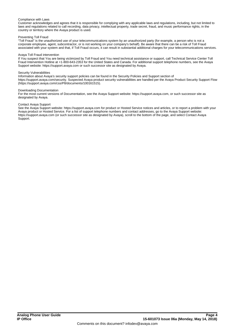#### Compliance with Laws

Customer acknowledges and agrees that it is responsible for complying with any applicable laws and regulations, including, but not limited to laws and regulations related to call recording, data privacy, intellectual property, trade secret, fraud, and music performance rights, in the country or territory where the Avaya product is used.

#### Preventing Toll Fraud

"Toll Fraud" is the unauthorized use of your telecommunications system by an unauthorized party (for example, a person who is not a corporate employee, agent, subcontractor, or is notworking on your company's behalf). Be aware that there can be a risk of Toll Fraud associated with your system and that, if Toll Fraud occurs, it can result in substantial additional charges for your telecommunications services.

#### Avaya Toll Fraud intervention

If You suspect that You are being victimized by Toll Fraud and You need technical assistance or support, call Technical Service Center Toll Fraud Intervention Hotline at +1-800-643-2353 for the United States and Canada. For additional support telephone numbers, see the Avaya Support website: https://support.avaya.com or such successor site as designated by Avaya.

#### Security Vulnerabilities

Information about Avaya's security support policies can be found in the Security Policies and Support section of https://support.avaya.com/security. Suspected Avaya product security vulnerabilities are handled perthe Avaya Product Security Support Flow (https://support.avaya.com/css/P8/documents/100161515).

#### Downloading Documentation

For the most current versions of Documentation, see the Avaya Support website: https://support.avaya.com, or such successor site as designated by Avaya.

#### Contact Avaya Support

See the Avaya Support website: https://support.avaya.com for product or Hosted Service notices and articles, or to report a problem withyour Avaya product or Hosted Service. For a list of support telephone numbers and contact addresses, go to the Avaya Support website: https://support.avaya.com (or such successor site as designated by Avaya), scroll to the bottom of the page, and select Contact Avaya Support.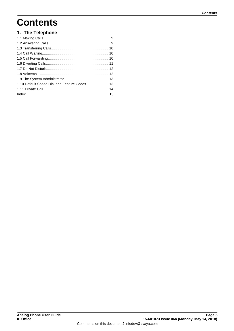## **Contents**

### 1. The Telephone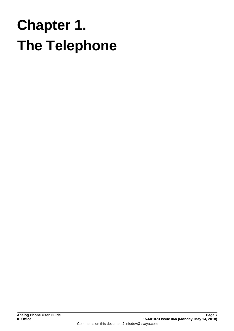# <span id="page-6-0"></span>**The Telephone Chapter 1.**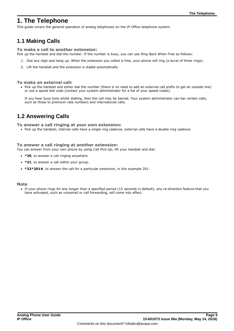## **1. The Telephone**

This guide covers the general operation of analog telephones on the IP Office telephone system.

## <span id="page-8-0"></span>**1.1 Making Calls**

#### **To make a call to another extension:**

Pick up the handset and dial the number. If the number is busy, you can use *Ring Back When Free* as follows:

- 1. Dial any digit and hang up. When the extension you called is free, your phone will ring (a burst of three rings).
- 2. Lift the handset and the extension is dialed automatically.

#### **To make an external call:**

· Pick up the handset and either dial the number (there is no need to add an external call prefix to get an outside line) or use a *speed dial* code (contact your system administrator for a list of your speed codes).

If you hear busy tone whilst dialling, then the call may be barred. Your system administrator can bar certain calls, such as those to premium rate numbers and international calls.

## <span id="page-8-1"></span>**1.2 Answering Calls**

**To answer a call ringing at your own extension:**

· Pick up the handset; internal calls have a single ring cadence, external calls have a double ring cadence.

#### **To answer a call ringing at another extension:**

You can answer from your own phone by using *Call Pick-Up*; lift your handset and dial:

- · **\*30**, to answer a call ringing anywhere.
- · **\*31**, to answer a call within your group.
- · **\*32\*201#**, to answer the call for a particular extension, in this example 201.

#### **Note**

· If your phone rings for any longer than a specified period (15 seconds in default), any re-direction feature that you have activated, such as voicemail or call forwarding, will come into effect.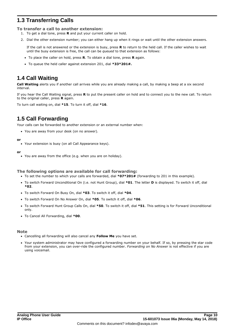## <span id="page-9-0"></span>**1.3 Transferring Calls**

**To transfer a call to another extension:**

- 1. To get a dial tone, press **R** and put your current caller on hold.
- 2. Dial the other extension number; you can either hang up when it rings or wait until the other extension answers.

If the call is not answered orthe extension is busy, press **R** to return to the held call. If the caller wishes to wait until the busy extension is free, the call can be *queued* to that extension as follows:

- · To place the caller on hold, press **R**. To obtain a dial tone, press **R** again.
- · To queue the held caller against extension 201, dial **\*33\*201#.**

## <span id="page-9-1"></span>**1.4 Call Waiting**

**Call Waiting** alerts you if another call arrives while you are already making a call, by making a beep at a six second interval.

If you hear the Call Waiting signal, press **R** to put the present caller on hold and to connect you to the new call. To return to the original caller, press **R** again.

To turn call waiting on, dial **\*15**. To turn it off, dial **\*16**.

## <span id="page-9-2"></span>**1.5 Call Forwarding**

Your calls can be forwarded to another extension or an external number when:

· You are away from your desk (on no answer).

#### **or**

· Your extension is busy (on all Call Appearance keys).

#### **or**

· You are away from the office (e.g. when you are on holiday).

#### **The following options are available for call forwarding:**

- · To set the number to which your calls are forwarded, dial **\*07\*201#** (forwarding to 201 in this example).
- · To switch Forward Unconditional On (i.e. not Hunt Group), dial **\*01**. The letter **D** is displayed. To switch it off, dial **\*02**.
- · To switch Forward On Busy On, dial **\*03**. To switch it off, dial **\*04**.
- · To switch Forward On No Answer On, dial **\*05**. To switch it off, dial **\*06**.
- · To switch Forward Hunt Group Calls On, dial **\*50**. To switch it off, dial **\*51**. This setting is for Forward Unconditional only.
- · To Cancel All Forwarding, dial **\*00**.

#### **Note**

- · Cancelling all forwarding will also cancel any **Follow Me** you have set.
- · Your system administrator may have configured a forwarding number on your behalf. If so, by pressing the star code from your extension, you can over-ride the configured number. *Forwarding on No Answer* is not effective if you are using voicemail.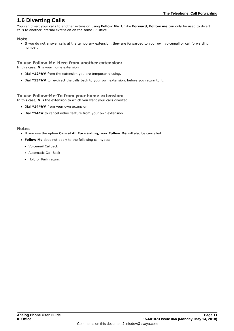## <span id="page-10-0"></span>**1.6 Diverting Calls**

You can divert your calls to another extension using **Follow Me**. Unlike **Forward**, **Follow me** can only be used to divert calls to another internal extension on the same IP Office.

#### **Note**

· If you do not answer calls at the temporary extension, they are forwarded to your own voicemail or call forwarding number.

#### **To use Follow-Me-Here from another extension:**

In this case, **N** is your home extension

- · Dial **\*12\****N***#** from the extension you are temporarily using.
- · Dial **\*13\****N***#** to re-direct the calls back to your own extension, before you return to it.

#### **To use Follow-Me-To from your home extension:**

In this case, **N** is the extension to which you want your calls diverted.

- · Dial **\*14\****N***#** from your own extension.
- · Dial **\*14\*#** to cancel either feature from your own extension.

#### **Notes**

- · If you use the option **Cancel All Forwarding**, your **Follow Me** will also be cancelled.
- · **Follow Me** does not apply to the following call types:
	- · Voicemail Callback
	- · Automatic Call Back
	- Hold or Park return.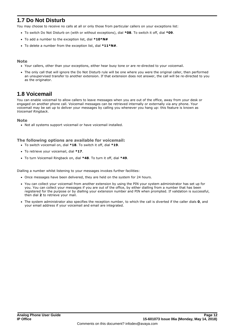## <span id="page-11-0"></span>**1.7 Do Not Disturb**

You may choose to receive no calls at all or only those from particular callers on your exceptions list:

- · To switch Do Not Disturb on (with or without exceptions), dial **\*08**. To switch it off, dial **\*09**.
- · To add a number to the exception list, dial **\*10\*N#**
- · To delete a number from the exception list, dial **\*11\*N#**.

#### **Note**

- · Your callers, other than your exceptions, either hear busy tone or are re-directed to your voicemail.
- · The only call that will ignore the Do Not Disturb rule will be one where you were the original caller, then performed an unsupervised transfer to another extension. If that extension does not answer, the call will be re-directed to you as the originator.

## <span id="page-11-1"></span>**1.8 Voicemail**

You can enable voicemail to allow callers to leave messages when you are out of the office, away from your desk or engaged on another phone call. Voicemail messages can be retrieved internally or externally via any phone. Your voicemail may be set up to deliver your messages by calling you whenever you hang up: this feature is known as *Voicemail Ringback*.

#### **Note**

· Not all systems support voicemail or have voicemail installed.

#### **The following options are available for voicemail:**

- · To switch voicemail on, dial **\*18**. To switch it off, dial **\*19**.
- · To retrieve your voicemail, dial **\*17**.
- · To turn Voicemail Ringback on, dial **\*48**. To turn it off, dial **\*49**.

Dialling a number whilst listening to your messages invokes further facilities:

- · Once messages have been delivered, they are held on the system for 24 hours.
- · You can collect your voicemail from another extension by using the PIN your system administrator has set up for you. You can collect your messages if you are out of the office, by either dialling from a number that has been registered for the purpose or by dialling your extension number and PIN when prompted. If validation is successful, then dial **2** to retrieve your mail.
- · The system administrator also specifies the reception number, to which the call is diverted if the caller dials **0**, and your email address if your voicemail and email are integrated.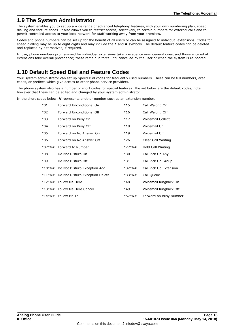## <span id="page-12-0"></span>**1.9 The System Administrator**

The system enables you to set up a wide range of advanced telephony features, with your own numbering plan, speed dialling and feature codes. It also allows you to restrict access, selectively, to certain numbers for external calls and to permit controlled access to your local network for staff working away from your premises.

Codes and phone numbers can be set up for the benefit of all users or can be assigned to individual extensions. Codes for speed dialling may be up to eight digits and may include the **\*** and **#** symbols. The default feature codes can be deleted and replaced by alternatives, if required.

In use, phone numbers programmed for individual extensions take precedence over general ones, and those entered at extensions take overall precedence; these remain in force until cancelled by the user or when the system is re-booted.

## <span id="page-12-1"></span>**1.10 Default Speed Dial and Feature Codes**

Your system administrator can set up Speed Dial codes for frequently used numbers. These can be full numbers, area codes, or prefixes which give access to other phone service providers.

The phone system also has a number of short codes for special features. The set below are the default codes, note however that these can be edited and changed by your system administrator.

In the short codes below, *N* represents another number such as an extension number.

| $*01$    | Forward Unconditional On        | $*15$    | Call Waiting On          |
|----------|---------------------------------|----------|--------------------------|
| $*02$    | Forward Unconditional Off       | $*16$    | Call Waiting Off         |
| $*03$    | Forward on Busy On              | $*17$    | <b>Voicemail Collect</b> |
| $*04$    | Forward on Busy Off             | $*18$    | Voicemail On             |
| $*05$    | Forward on No Answer On         | $*19$    | Voicemail Off            |
| $*06$    | Forward on No Answer Off        | $*26$    | Clear Call Waiting       |
| $*07*N#$ | Forward to Number               | $*27*N#$ | Hold Call Waiting        |
| $*08$    | Do Not Disturb On               | $*30$    | Call Pick Up Any         |
| $*09$    | Do Not Disturb Off              | $*31$    | Call Pick Up Group       |
| *10*N#   | Do Not Disturb Exception Add    | *32*N#   | Call Pick Up Extension   |
| *11*N#   | Do Not Disturb Exception Delete | $*33*N#$ | Call Queue               |
| *12*N#   | Follow Me Here                  | *48      | Voicemail Ringback On    |
|          | *13*N# Follow Me Here Cancel    | *49      | Voicemail Ringback Off   |
|          | *14*N# Follow Me To             | $*57*N#$ | Forward on Busy Number   |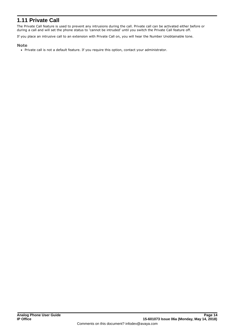## <span id="page-13-0"></span>**1.11 Private Call**

The Private Call feature is used to prevent any intrusions during the call. Private call can be activated either before or during a call and will set the phone status to 'cannot be intruded' until you switch the Private Call feature off.

If you place an intrusive call to an extension with Private Call on, you will hear the Number Unobtainable tone.

#### **Note**

· Private call is not a default feature. If you require this option, contact your administrator.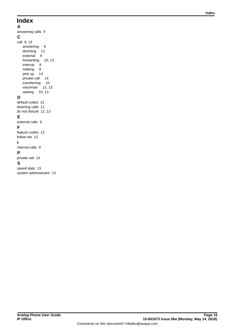## **Index**

**A** answering calls [9](#page-8-1) **C** call [9,](#page-8-0) [13](#page-12-1) answering [9](#page-8-1) diverting [11](#page-10-0) external [9](#page-8-0) forwarding [10,](#page-9-2) [13](#page-12-1) internal [9](#page-8-0) making [9](#page-8-0) pick up [13](#page-12-1) private call [14](#page-13-0) transferring [10](#page-9-0) voicemail [12,](#page-11-1) [13](#page-12-1) waiting [10,](#page-9-1) [13](#page-12-1) **D** default codes [13](#page-12-1) diverting calls [11](#page-10-0) do not disturb [12,](#page-11-0) [13](#page-12-1) **E** external calls [9](#page-8-0) **F**

## follow me [13](#page-12-1)

**I** internal calls [9](#page-8-0) **P**

feature codes [13](#page-12-1)

### private call [14](#page-13-0)

#### **S**

speed dials [13](#page-12-1) system administrator [13](#page-12-0)